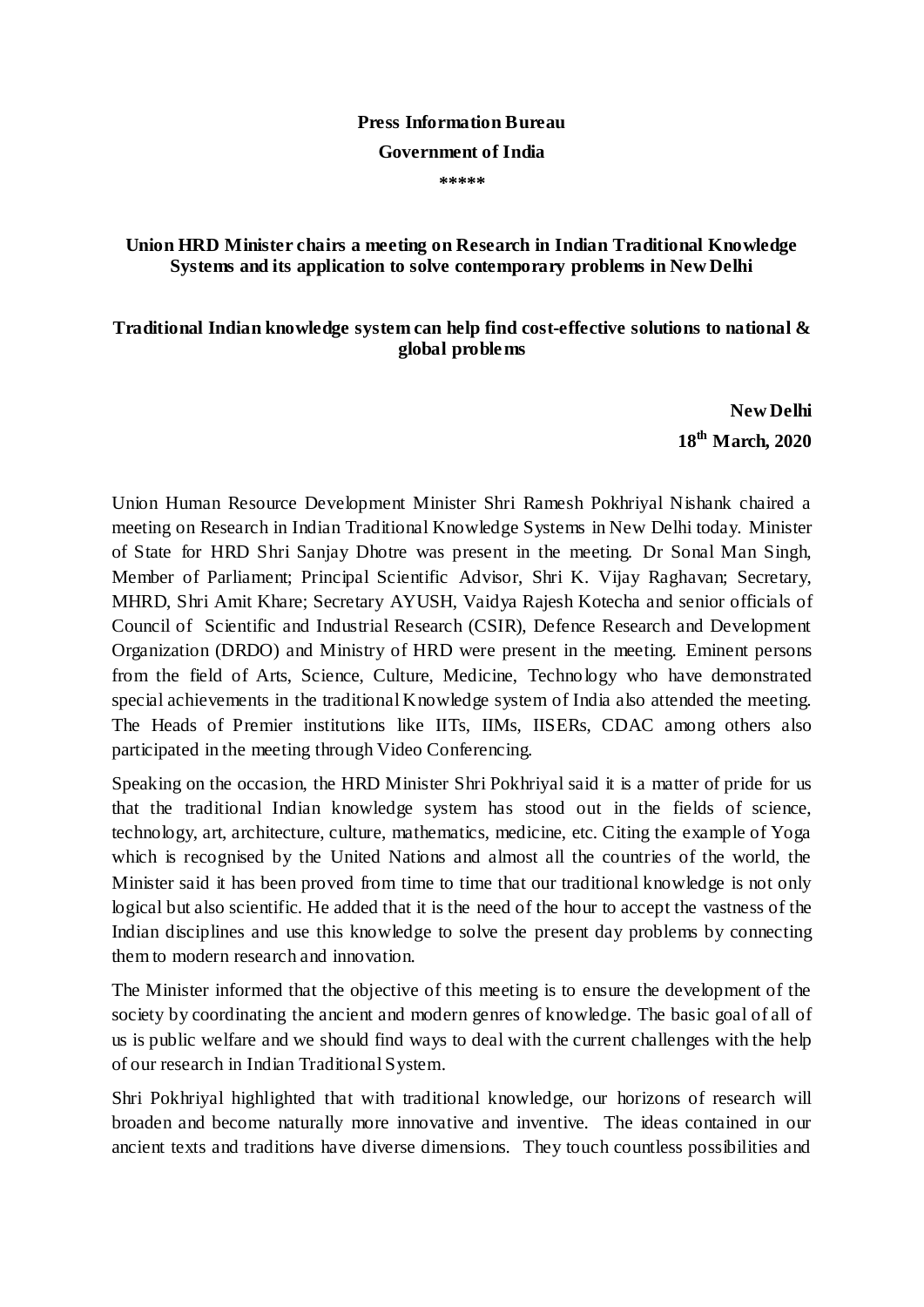## **Press Information Bureau**

## **Government of India**

**\*\*\*\*\***

## **Union HRD Minister chairs a meeting on Research in Indian Traditional Knowledge Systems and its application to solve contemporary problems in New Delhi**

## **Traditional Indian knowledge system can help find cost-effective solutions to national & global problems**

**New Delhi 18th March, 2020**

Union Human Resource Development Minister Shri Ramesh Pokhriyal Nishank chaired a meeting on Research in Indian Traditional Knowledge Systems in New Delhi today. Minister of State for HRD Shri Sanjay Dhotre was present in the meeting. Dr Sonal Man Singh, Member of Parliament; Principal Scientific Advisor, Shri K. Vijay Raghavan; Secretary, MHRD, Shri Amit Khare; Secretary AYUSH, Vaidya Rajesh Kotecha and senior officials of Council of Scientific and Industrial Research (CSIR), Defence Research and Development Organization (DRDO) and Ministry of HRD were present in the meeting. Eminent persons from the field of Arts, Science, Culture, Medicine, Technology who have demonstrated special achievements in the traditional Knowledge system of India also attended the meeting. The Heads of Premier institutions like IITs, IIMs, IISERs, CDAC among others also participated in the meeting through Video Conferencing.

Speaking on the occasion, the HRD Minister Shri Pokhriyal said it is a matter of pride for us that the traditional Indian knowledge system has stood out in the fields of science, technology, art, architecture, culture, mathematics, medicine, etc. Citing the example of Yoga which is recognised by the United Nations and almost all the countries of the world, the Minister said it has been proved from time to time that our traditional knowledge is not only logical but also scientific. He added that it is the need of the hour to accept the vastness of the Indian disciplines and use this knowledge to solve the present day problems by connecting them to modern research and innovation.

The Minister informed that the objective of this meeting is to ensure the development of the society by coordinating the ancient and modern genres of knowledge. The basic goal of all of us is public welfare and we should find ways to deal with the current challenges with the help of our research in Indian Traditional System.

Shri Pokhriyal highlighted that with traditional knowledge, our horizons of research will broaden and become naturally more innovative and inventive. The ideas contained in our ancient texts and traditions have diverse dimensions. They touch countless possibilities and